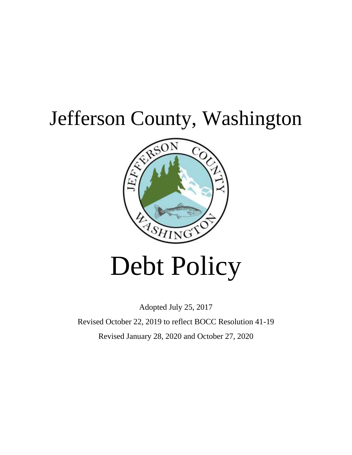## Jefferson County, Washington



# Debt Policy

Adopted July 25, 2017

Revised October 22, 2019 to reflect BOCC Resolution 41-19 Revised January 28, 2020 and October 27, 2020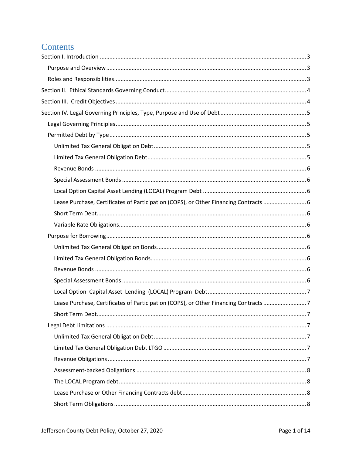## Contents

| Lease Purchase, Certificates of Participation (COPS), or Other Financing Contracts 6 |  |
|--------------------------------------------------------------------------------------|--|
|                                                                                      |  |
|                                                                                      |  |
|                                                                                      |  |
|                                                                                      |  |
|                                                                                      |  |
|                                                                                      |  |
|                                                                                      |  |
|                                                                                      |  |
| Lease Purchase, Certificates of Participation (COPS), or Other Financing Contracts 7 |  |
|                                                                                      |  |
|                                                                                      |  |
|                                                                                      |  |
|                                                                                      |  |
|                                                                                      |  |
|                                                                                      |  |
|                                                                                      |  |
|                                                                                      |  |
|                                                                                      |  |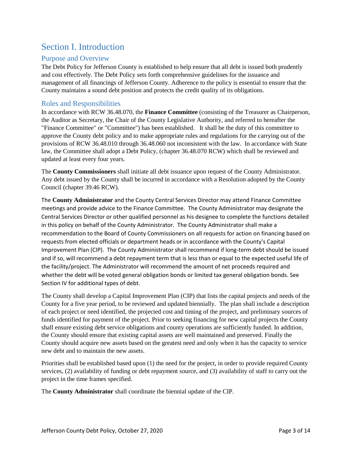## <span id="page-3-0"></span>Section I. Introduction

#### <span id="page-3-1"></span>Purpose and Overview

The Debt Policy for Jefferson County is established to help ensure that all debt is issued both prudently and cost effectively. The Debt Policy sets forth comprehensive guidelines for the issuance and management of all financings of Jefferson County. Adherence to the policy is essential to ensure that the County maintains a sound debt position and protects the credit quality of its obligations.

#### <span id="page-3-2"></span>Roles and Responsibilities

In accordance with RCW 36.48.070, the **Finance Committee** (consisting of the Treasurer as Chairperson, the Auditor as Secretary, the Chair of the County Legislative Authority, and referred to hereafter the "Finance Committee" or "Committee") has been established. It shall be the duty of this committee to approve the County debt policy and to make appropriate rules and regulations for the carrying out of the provisions of RCW 36.48.010 through 36.48.060 not inconsistent with the law. In accordance with State law, the Committee shall adopt a Debt Policy, (chapter 36.48.070 RCW) which shall be reviewed and updated at least every four years.

The **County Commissioners** shall initiate all debt issuance upon request of the County Administrator. Any debt issued by the County shall be incurred in accordance with a Resolution adopted by the County Council (chapter 39.46 RCW).

The **County Administrator** and the County Central Services Director may attend Finance Committee meetings and provide advice to the Finance Committee. The County Administrator may designate the Central Services Director or other qualified personnel as his designee to complete the functions detailed in this policy on behalf of the County Administrator. The County Administrator shall make a recommendation to the Board of County Commissioners on all requests for action on financing based on requests from elected officials or department heads or in accordance with the County's Capital Improvement Plan (CIP). The County Administrator shall recommend if long-term debt should be issued and if so, will recommend a debt repayment term that is less than or equal to the expected useful life of the facility/project. The Administrator will recommend the amount of net proceeds required and whether the debt will be voted general obligation bonds or limited tax general obligation bonds. See Section IV for additional types of debt.

The County shall develop a Capital Improvement Plan (CIP) that lists the capital projects and needs of the County for a five year period, to be reviewed and updated biennially. The plan shall include a description of each project or need identified, the projected cost and timing of the project, and preliminary sources of funds identified for payment of the project. Prior to seeking financing for new capital projects the County shall ensure existing debt service obligations and county operations are sufficiently funded. In addition, the County should ensure that existing capital assets are well maintained and preserved. Finally the County should acquire new assets based on the greatest need and only when it has the capacity to service new debt and to maintain the new assets.

Priorities shall be established based upon (1) the need for the project, in order to provide required County services, (2) availability of funding or debt repayment source, and (3) availability of staff to carry out the project in the time frames specified.

The **County Administrator** shall coordinate the biennial update of the CIP.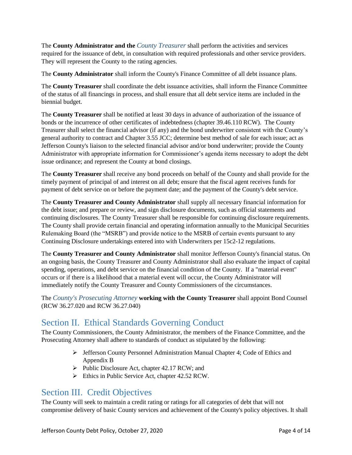The **County Administrator and the** *County Treasurer* shall perform the activities and services required for the issuance of debt, in consultation with required professionals and other service providers. They will represent the County to the rating agencies.

The **County Administrator** shall inform the County's Finance Committee of all debt issuance plans.

The **County Treasurer** shall coordinate the debt issuance activities, shall inform the Finance Committee of the status of all financings in process, and shall ensure that all debt service items are included in the biennial budget.

The **County Treasurer** shall be notified at least 30 days in advance of authorization of the issuance of bonds or the incurrence of other certificates of indebtedness (chapter 39.46.110 RCW). The County Treasurer shall select the financial advisor (if any) and the bond underwriter consistent with the County's general authority to contract and Chapter 3.55 JCC; determine best method of sale for each issue; act as Jefferson County's liaison to the selected financial advisor and/or bond underwriter; provide the County Administrator with appropriate information for Commissioner's agenda items necessary to adopt the debt issue ordinance; and represent the County at bond closings.

The **County Treasurer** shall receive any bond proceeds on behalf of the County and shall provide for the timely payment of principal of and interest on all debt; ensure that the fiscal agent receives funds for payment of debt service on or before the payment date; and the payment of the County's debt service.

The **County Treasurer and County Administrator** shall supply all necessary financial information for the debt issue; and prepare or review, and sign disclosure documents, such as official statements and continuing disclosures. The County Treasurer shall be responsible for continuing disclosure requirements. The County shall provide certain financial and operating information annually to the Municipal Securities Rulemaking Board (the "MSRB") and provide notice to the MSRB of certain events pursuant to any Continuing Disclosure undertakings entered into with Underwriters per 15c2-12 regulations.

The **County Treasurer and County Administrator** shall monitor Jefferson County's financial status. On an ongoing basis, the County Treasurer and County Administrator shall also evaluate the impact of capital spending, operations, and debt service on the financial condition of the County. If a "material event" occurs or if there is a likelihood that a material event will occur, the County Administrator will immediately notify the County Treasurer and County Commissioners of the circumstances.

The *County's Prosecuting Attorney* **working with the County Treasurer** shall appoint Bond Counsel (RCW 36.27.020 and RCW 36.27.040)

## <span id="page-4-0"></span>Section II. Ethical Standards Governing Conduct

The County Commissioners, the County Administrator, the members of the Finance Committee, and the Prosecuting Attorney shall adhere to standards of conduct as stipulated by the following:

- $\triangleright$  Jefferson County Personnel Administration Manual Chapter 4; Code of Ethics and Appendix B
- $\triangleright$  Public Disclosure Act, chapter 42.17 RCW; and
- Ethics in Public Service Act, chapter 42.52 RCW.

## <span id="page-4-1"></span>Section III. Credit Objectives

The County will seek to maintain a credit rating or ratings for all categories of debt that will not compromise delivery of basic County services and achievement of the County's policy objectives. It shall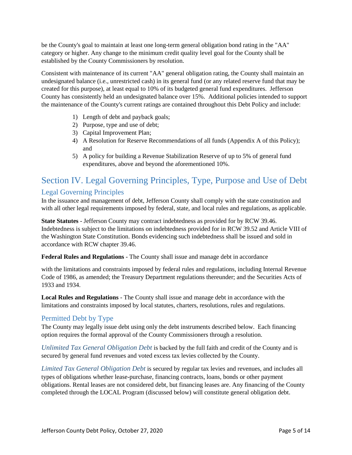be the County's goal to maintain at least one long-term general obligation bond rating in the "AA" category or higher. Any change to the minimum credit quality level goal for the County shall be established by the County Commissioners by resolution.

Consistent with maintenance of its current "AA" general obligation rating, the County shall maintain an undesignated balance (i.e., unrestricted cash) in its general fund (or any related reserve fund that may be created for this purpose), at least equal to 10% of its budgeted general fund expenditures. Jefferson County has consistently held an undesignated balance over 15%. Additional policies intended to support the maintenance of the County's current ratings are contained throughout this Debt Policy and include:

- 1) Length of debt and payback goals;
- 2) Purpose, type and use of debt;
- 3) Capital Improvement Plan;
- 4) A Resolution for Reserve Recommendations of all funds (Appendix A of this Policy); and
- 5) A policy for building a Revenue Stabilization Reserve of up to 5% of general fund expenditures, above and beyond the aforementioned 10%.

## <span id="page-5-0"></span>Section IV. Legal Governing Principles, Type, Purpose and Use of Debt Legal Governing Principles

<span id="page-5-1"></span>In the issuance and management of debt, Jefferson County shall comply with the state constitution and with all other legal requirements imposed by federal, state, and local rules and regulations, as applicable.

**State Statutes** - Jefferson County may contract indebtedness as provided for by RCW 39.46. Indebtedness is subject to the limitations on indebtedness provided for in RCW 39.52 and Article VIII of the Washington State Constitution. Bonds evidencing such indebtedness shall be issued and sold in accordance with RCW chapter 39.46.

**Federal Rules and Regulations** - The County shall issue and manage debt in accordance

with the limitations and constraints imposed by federal rules and regulations, including Internal Revenue Code of 1986, as amended; the Treasury Department regulations thereunder; and the Securities Acts of 1933 and 1934.

**Local Rules and Regulations** - The County shall issue and manage debt in accordance with the limitations and constraints imposed by local statutes, charters, resolutions, rules and regulations.

#### <span id="page-5-2"></span>Permitted Debt by Type

The County may legally issue debt using only the debt instruments described below. Each financing option requires the formal approval of the County Commissioners through a resolution.

<span id="page-5-3"></span>*Unlimited Tax General Obligation Debt* is backed by the full faith and credit of the County and is secured by general fund revenues and voted excess tax levies collected by the County.

<span id="page-5-4"></span>*Limited Tax General Obligation Debt* is secured by regular tax levies and revenues, and includes all types of obligations whether lease-purchase, financing contracts, loans, bonds or other payment obligations. Rental leases are not considered debt, but financing leases are. Any financing of the County completed through the LOCAL Program (discussed below) will constitute general obligation debt.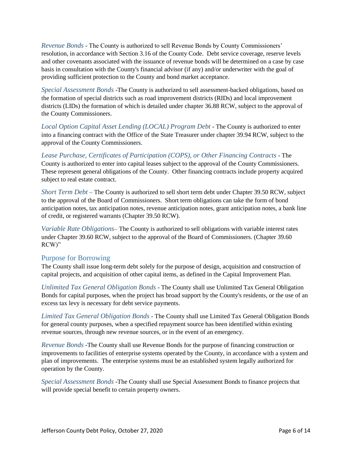<span id="page-6-0"></span>*Revenue Bonds* - The County is authorized to sell Revenue Bonds by County Commissioners' resolution, in accordance with Section 3.16 of the County Code. Debt service coverage, reserve levels and other covenants associated with the issuance of revenue bonds will be determined on a case by case basis in consultation with the County's financial advisor (if any) and/or underwriter with the goal of providing sufficient protection to the County and bond market acceptance.

<span id="page-6-1"></span>*Special Assessment Bonds* -The County is authorized to sell assessment-backed obligations, based on the formation of special districts such as road improvement districts (RIDs) and local improvement districts (LIDs) the formation of which is detailed under chapter 36.88 RCW, subject to the approval of the County Commissioners.

<span id="page-6-2"></span>*Local Option Capital Asset Lending (LOCAL) Program Debt* - The County is authorized to enter into a financing contract with the Office of the State Treasurer under chapter 39.94 RCW, subject to the approval of the County Commissioners.

<span id="page-6-3"></span>*Lease Purchase, Certificates of Participation (COPS), or Other Financing Contracts* - The County is authorized to enter into capital leases subject to the approval of the County Commissioners. These represent general obligations of the County. Other financing contracts include property acquired subject to real estate contract.

<span id="page-6-4"></span>*Short Term Debt* – The County is authorized to sell short term debt under Chapter 39.50 RCW, subject to the approval of the Board of Commissioners. Short term obligations can take the form of bond anticipation notes, tax anticipation notes, revenue anticipation notes, grant anticipation notes, a bank line of credit, or registered warrants (Chapter 39.50 RCW).

<span id="page-6-5"></span>*Variable Rate Obligations*– The County is authorized to sell obligations with variable interest rates under Chapter 39.60 RCW, subject to the approval of the Board of Commissioners. (Chapter 39.60 RCW)"

#### <span id="page-6-6"></span>Purpose for Borrowing

The County shall issue long-term debt solely for the purpose of design, acquisition and construction of capital projects, and acquisition of other capital items, as defined in the Capital Improvement Plan.

<span id="page-6-7"></span>*Unlimited Tax General Obligation Bonds* - The County shall use Unlimited Tax General Obligation Bonds for capital purposes, when the project has broad support by the County's residents, or the use of an excess tax levy is necessary for debt service payments.

<span id="page-6-8"></span>*Limited Tax General Obligation Bonds* - The County shall use Limited Tax General Obligation Bonds for general county purposes, when a specified repayment source has been identified within existing revenue sources, through new revenue sources, or in the event of an emergency.

<span id="page-6-9"></span>*Revenue Bonds* -The County shall use Revenue Bonds for the purpose of financing construction or improvements to facilities of enterprise systems operated by the County, in accordance with a system and plan of improvements. The enterprise systems must be an established system legally authorized for operation by the County.

<span id="page-6-10"></span>*Special Assessment Bonds* -The County shall use Special Assessment Bonds to finance projects that will provide special benefit to certain property owners.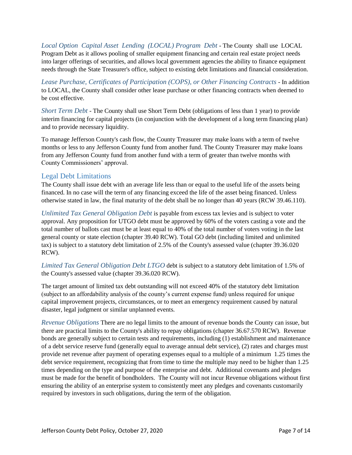<span id="page-7-0"></span>*Local Option Capital Asset Lending (LOCAL) Program Debt* - The County shall use LOCAL Program Debt as it allows pooling of smaller equipment financing and certain real estate project needs into larger offerings of securities, and allows local government agencies the ability to finance equipment needs through the State Treasurer's office, subject to existing debt limitations and financial consideration.

<span id="page-7-1"></span>*Lease Purchase, Certificates of Participation (COPS), or Other Financing Contracts* - In addition to LOCAL, the County shall consider other lease purchase or other financing contracts when deemed to be cost effective.

<span id="page-7-2"></span>*Short Term Debt* - The County shall use Short Term Debt (obligations of less than 1 year) to provide interim financing for capital projects (in conjunction with the development of a long term financing plan) and to provide necessary liquidity.

To manage Jefferson County's cash flow, the County Treasurer may make loans with a term of twelve months or less to any Jefferson County fund from another fund. The County Treasurer may make loans from any Jefferson County fund from another fund with a term of greater than twelve months with County Commissioners' approval.

#### <span id="page-7-3"></span>Legal Debt Limitations

The County shall issue debt with an average life less than or equal to the useful life of the assets being financed. In no case will the term of any financing exceed the life of the asset being financed. Unless otherwise stated in law, the final maturity of the debt shall be no longer than 40 years (RCW 39.46.110).

<span id="page-7-4"></span>*Unlimited Tax General Obligation Debt* is payable from excess tax levies and is subject to voter approval. Any proposition for UTGO debt must be approved by 60% of the voters casting a vote and the total number of ballots cast must be at least equal to 40% of the total number of voters voting in the last general county or state election (chapter 39.40 RCW). Total GO debt (including limited and unlimited tax) is subject to a statutory debt limitation of 2.5% of the County's assessed value (chapter 39.36.020 RCW).

<span id="page-7-5"></span>*Limited Tax General Obligation Debt LTGO* debt is subject to a statutory debt limitation of 1.5% of the County's assessed value (chapter 39.36.020 RCW).

The target amount of limited tax debt outstanding will not exceed 40% of the statutory debt limitation (subject to an affordability analysis of the county's current expense fund) unless required for unique capital improvement projects, circumstances, or to meet an emergency requirement caused by natural disaster, legal judgment or similar unplanned events.

<span id="page-7-6"></span>*Revenue Obligations* There are no legal limits to the amount of revenue bonds the County can issue, but there are practical limits to the County's ability to repay obligations (chapter 36.67.570 RCW). Revenue bonds are generally subject to certain tests and requirements, including (1) establishment and maintenance of a debt service reserve fund (generally equal to average annual debt service), (2) rates and charges must provide net revenue after payment of operating expenses equal to a multiple of a minimum 1.25 times the debt service requirement, recognizing that from time to time the multiple may need to be higher than 1.25 times depending on the type and purpose of the enterprise and debt. Additional covenants and pledges must be made for the benefit of bondholders. The County will not incur Revenue obligations without first ensuring the ability of an enterprise system to consistently meet any pledges and covenants customarily required by investors in such obligations, during the term of the obligation.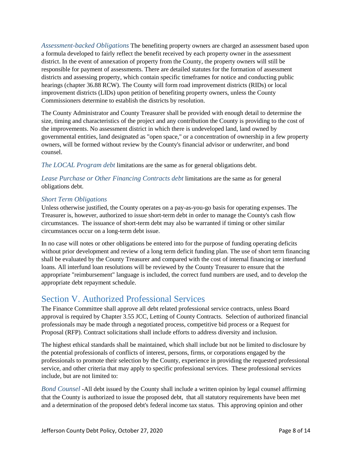<span id="page-8-0"></span>*Assessment-backed Obligations* The benefiting property owners are charged an assessment based upon a formula developed to fairly reflect the benefit received by each property owner in the assessment district. In the event of annexation of property from the County, the property owners will still be responsible for payment of assessments. There are detailed statutes for the formation of assessment districts and assessing property, which contain specific timeframes for notice and conducting public hearings (chapter 36.88 RCW). The County will form road improvement districts (RIDs) or local improvement districts (LIDs) upon petition of benefiting property owners, unless the County Commissioners determine to establish the districts by resolution.

The County Administrator and County Treasurer shall be provided with enough detail to determine the size, timing and characteristics of the project and any contribution the County is providing to the cost of the improvements. No assessment district in which there is undeveloped land, land owned by governmental entities, land designated as "open space," or a concentration of ownership in a few property owners, will be formed without review by the County's financial advisor or underwriter, and bond counsel.

<span id="page-8-1"></span>*The LOCAL Program debt* limitations are the same as for general obligations debt.

<span id="page-8-2"></span>*Lease Purchase or Other Financing Contracts debt* limitations are the same as for general obligations debt.

#### <span id="page-8-3"></span>*Short Term Obligations*

Unless otherwise justified, the County operates on a pay-as-you-go basis for operating expenses. The Treasurer is, however, authorized to issue short-term debt in order to manage the County's cash flow circumstances. The issuance of short-term debt may also be warranted if timing or other similar circumstances occur on a long-term debt issue.

In no case will notes or other obligations be entered into for the purpose of funding operating deficits without prior development and review of a long term deficit funding plan. The use of short term financing shall be evaluated by the County Treasurer and compared with the cost of internal financing or interfund loans. All interfund loan resolutions will be reviewed by the County Treasurer to ensure that the appropriate "reimbursement" language is included, the correct fund numbers are used, and to develop the appropriate debt repayment schedule.

## <span id="page-8-4"></span>Section V. Authorized Professional Services

The Finance Committee shall approve all debt related professional service contracts, unless Board approval is required by Chapter 3.55 JCC, Letting of County Contracts. Selection of authorized financial professionals may be made through a negotiated process, competitive bid process or a Request for Proposal (RFP). Contract solicitations shall include efforts to address diversity and inclusion.

The highest ethical standards shall be maintained, which shall include but not be limited to disclosure by the potential professionals of conflicts of interest, persons, firms, or corporations engaged by the professionals to promote their selection by the County, experience in providing the requested professional service, and other criteria that may apply to specific professional services. These professional services include, but are not limited to:

<span id="page-8-5"></span>*Bond Counsel* -All debt issued by the County shall include a written opinion by legal counsel affirming that the County is authorized to issue the proposed debt, that all statutory requirements have been met and a determination of the proposed debt's federal income tax status. This approving opinion and other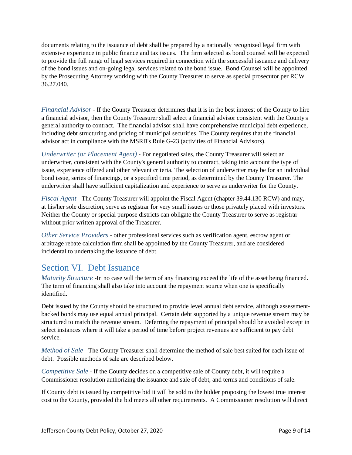documents relating to the issuance of debt shall be prepared by a nationally recognized legal firm with extensive experience in public finance and tax issues. The firm selected as bond counsel will be expected to provide the full range of legal services required in connection with the successful issuance and delivery of the bond issues and on-going legal services related to the bond issue. Bond Counsel will be appointed by the Prosecuting Attorney working with the County Treasurer to serve as special prosecutor per RCW 36.27.040.

<span id="page-9-0"></span>*Financial Advisor* - If the County Treasurer determines that it is in the best interest of the County to hire a financial advisor, then the County Treasurer shall select a financial advisor consistent with the County's general authority to contract. The financial advisor shall have comprehensive municipal debt experience, including debt structuring and pricing of municipal securities. The County requires that the financial advisor act in compliance with the MSRB's Rule G-23 (activities of Financial Advisors).

<span id="page-9-1"></span>*Underwriter (or Placement Agent)* - For negotiated sales, the County Treasurer will select an underwriter, consistent with the County's general authority to contract, taking into account the type of issue, experience offered and other relevant criteria. The selection of underwriter may be for an individual bond issue, series of financings, or a specified time period, as determined by the County Treasurer. The underwriter shall have sufficient capitalization and experience to serve as underwriter for the County.

<span id="page-9-2"></span>*Fiscal Agent* - The County Treasurer will appoint the Fiscal Agent (chapter 39.44.130 RCW) and may, at his/her sole discretion, serve as registrar for very small issues or those privately placed with investors. Neither the County or special purpose districts can obligate the County Treasurer to serve as registrar without prior written approval of the Treasurer.

<span id="page-9-3"></span>*Other Service Providers* - other professional services such as verification agent, escrow agent or arbitrage rebate calculation firm shall be appointed by the County Treasurer, and are considered incidental to undertaking the issuance of debt.

## <span id="page-9-4"></span>Section VI. Debt Issuance

<span id="page-9-5"></span>*Maturity Structure* -In no case will the term of any financing exceed the life of the asset being financed. The term of financing shall also take into account the repayment source when one is specifically identified.

Debt issued by the County should be structured to provide level annual debt service, although assessmentbacked bonds may use equal annual principal. Certain debt supported by a unique revenue stream may be structured to match the revenue stream. Deferring the repayment of principal should be avoided except in select instances where it will take a period of time before project revenues are sufficient to pay debt service.

<span id="page-9-6"></span>*Method of Sale* - The County Treasurer shall determine the method of sale best suited for each issue of debt. Possible methods of sale are described below.

<span id="page-9-7"></span>*Competitive Sale* - If the County decides on a competitive sale of County debt, it will require a Commissioner resolution authorizing the issuance and sale of debt, and terms and conditions of sale.

If County debt is issued by competitive bid it will be sold to the bidder proposing the lowest true interest cost to the County, provided the bid meets all other requirements. A Commissioner resolution will direct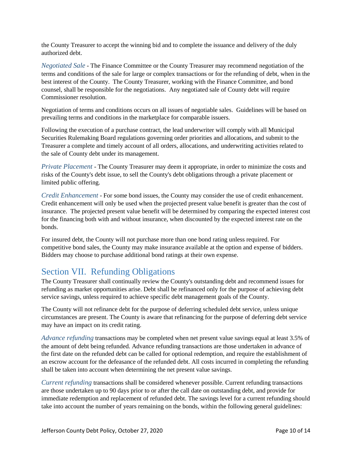the County Treasurer to accept the winning bid and to complete the issuance and delivery of the duly authorized debt.

<span id="page-10-0"></span>*Negotiated Sale* - The Finance Committee or the County Treasurer may recommend negotiation of the terms and conditions of the sale for large or complex transactions or for the refunding of debt, when in the best interest of the County. The County Treasurer, working with the Finance Committee, and bond counsel, shall be responsible for the negotiations. Any negotiated sale of County debt will require Commissioner resolution.

Negotiation of terms and conditions occurs on all issues of negotiable sales. Guidelines will be based on prevailing terms and conditions in the marketplace for comparable issuers.

Following the execution of a purchase contract, the lead underwriter will comply with all Municipal Securities Rulemaking Board regulations governing order priorities and allocations, and submit to the Treasurer a complete and timely account of all orders, allocations, and underwriting activities related to the sale of County debt under its management.

<span id="page-10-1"></span>*Private Placement* - The County Treasurer may deem it appropriate, in order to minimize the costs and risks of the County's debt issue, to sell the County's debt obligations through a private placement or limited public offering.

<span id="page-10-2"></span>*Credit Enhancement* - For some bond issues, the County may consider the use of credit enhancement. Credit enhancement will only be used when the projected present value benefit is greater than the cost of insurance. The projected present value benefit will be determined by comparing the expected interest cost for the financing both with and without insurance, when discounted by the expected interest rate on the bonds.

For insured debt, the County will not purchase more than one bond rating unless required. For competitive bond sales, the County may make insurance available at the option and expense of bidders. Bidders may choose to purchase additional bond ratings at their own expense.

## <span id="page-10-3"></span>Section VII. Refunding Obligations

The County Treasurer shall continually review the County's outstanding debt and recommend issues for refunding as market opportunities arise. Debt shall be refinanced only for the purpose of achieving debt service savings, unless required to achieve specific debt management goals of the County.

The County will not refinance debt for the purpose of deferring scheduled debt service, unless unique circumstances are present. The County is aware that refinancing for the purpose of deferring debt service may have an impact on its credit rating.

<span id="page-10-4"></span>*Advance refunding* transactions may be completed when net present value savings equal at least 3.5% of the amount of debt being refunded. Advance refunding transactions are those undertaken in advance of the first date on the refunded debt can be called for optional redemption, and require the establishment of an escrow account for the defeasance of the refunded debt. All costs incurred in completing the refunding shall be taken into account when determining the net present value savings.

<span id="page-10-5"></span>*Current refunding* transactions shall be considered whenever possible. Current refunding transactions are those undertaken up to 90 days prior to or after the call date on outstanding debt, and provide for immediate redemption and replacement of refunded debt. The savings level for a current refunding should take into account the number of years remaining on the bonds, within the following general guidelines: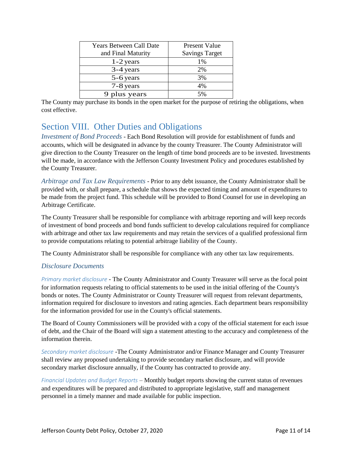| Years Between Call Date | Present Value         |
|-------------------------|-----------------------|
| and Final Maturity      | <b>Savings Target</b> |
| $1-2$ years             | 1%                    |
| 3-4 years               | 2%                    |
| 5-6 years               | 3%                    |
| 7-8 years               | 4%                    |
| 9 plus years            | 5%                    |

The County may purchase its bonds in the open market for the purpose of retiring the obligations, when cost effective.

## <span id="page-11-0"></span>Section VIII. Other Duties and Obligations

<span id="page-11-1"></span>*Investment of Bond Proceeds* - Each Bond Resolution will provide for establishment of funds and accounts, which will be designated in advance by the county Treasurer. The County Administrator will give direction to the County Treasurer on the length of time bond proceeds are to be invested. Investments will be made, in accordance with the Jefferson County Investment Policy and procedures established by the County Treasurer.

<span id="page-11-2"></span>*Arbitrage and Tax Law Requirements* - Prior to any debt issuance, the County Administrator shall be provided with, or shall prepare, a schedule that shows the expected timing and amount of expenditures to be made from the project fund. This schedule will be provided to Bond Counsel for use in developing an Arbitrage Certificate.

The County Treasurer shall be responsible for compliance with arbitrage reporting and will keep records of investment of bond proceeds and bond funds sufficient to develop calculations required for compliance with arbitrage and other tax law requirements and may retain the services of a qualified professional firm to provide computations relating to potential arbitrage liability of the County.

The County Administrator shall be responsible for compliance with any other tax law requirements.

#### <span id="page-11-3"></span>*Disclosure Documents*

*Primary market disclosure* - The County Administrator and County Treasurer will serve as the focal point for information requests relating to official statements to be used in the initial offering of the County's bonds or notes. The County Administrator or County Treasurer will request from relevant departments, information required for disclosure to investors and rating agencies. Each department bears responsibility for the information provided for use in the County's official statements.

The Board of County Commissioners will be provided with a copy of the official statement for each issue of debt, and the Chair of the Board will sign a statement attesting to the accuracy and completeness of the information therein.

*Secondary market disclosure* -The County Administrator and/or Finance Manager and County Treasurer shall review any proposed undertaking to provide secondary market disclosure, and will provide secondary market disclosure annually, if the County has contracted to provide any.

*Financial Updates and Budget Reports* – Monthly budget reports showing the current status of revenues and expenditures will be prepared and distributed to appropriate legislative, staff and management personnel in a timely manner and made available for public inspection.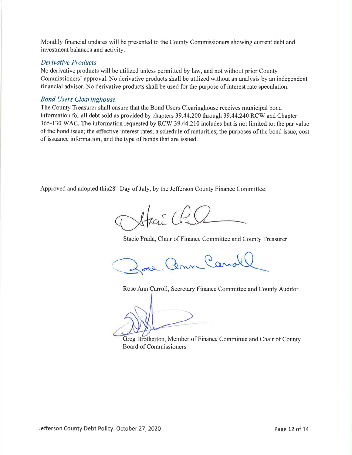Monthly financial updates will be presented to the County Commissioners showing current debt and investment balances and activity.

#### **Derivative Products**

No derivative products will be utilized unless permitted by law, and not without prior County Commissioners' approval. No derivative products shall be utilized without an analysis by an independent financial advisor. No derivative products shall be used for the purpose of interest rate speculation.

#### **Bond Users Clearinghouse**

The County Treasurer shall ensure that the Bond Users Clearinghouse receives municipal bond information for all debt sold as provided by chapters 39.44.200 through 39.44.240 RCW and Chapter 365-130 WAC. The information requested by RCW 39.44.210 includes but is not limited to: the par value of the bond issue; the effective interest rates; a schedule of maturities; the purposes of the bond issue; cost of issuance information; and the type of bonds that are issued.

Approved and adopted this 28<sup>th</sup> Day of July, by the Jefferson County Finance Committee.

Staci Cl

Stacie Prada, Chair of Finance Committee and County Treasurer

Lann Canal

Rose Ann Carroll, Secretary Finance Committee and County Auditor

Greg Brotherton, Member of Finance Committee and Chair of County **Board of Commissioners**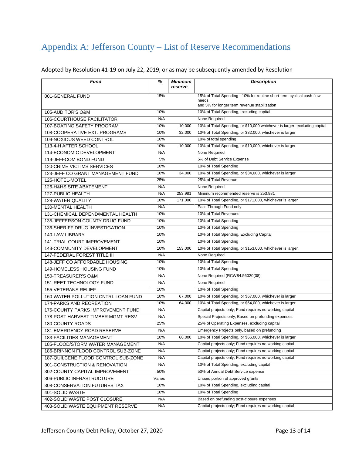## <span id="page-13-0"></span>Appendix A: Jefferson County – List of Reserve Recommendations

#### Adopted by Resolution 41-19 on July 22, 2019, or as may be subsequently amended by Resolution

| <b>Fund</b>                         | %      | <b>Minimum</b><br>reserve | <b>Description</b>                                                        |
|-------------------------------------|--------|---------------------------|---------------------------------------------------------------------------|
| 001-GENERAL FUND                    | 15%    |                           | 15% of Total Spending - 10% for routine short-term cyclical cash flow     |
|                                     |        |                           | needs<br>and 5% for longer term revenue stabilization                     |
| 105-AUDITOR'S O&M                   | 10%    |                           | 10% of Total Spending, excluding capital                                  |
| <b>106-COURTHOUSE FACILITATOR</b>   | N/A    |                           | None Required                                                             |
| 107-BOATING SAFETY PROGRAM          | 10%    | 10,000                    | 10% of Total Spending, or \$10,000 whichever is larger, excluding capital |
| 108-COOPERATIVE EXT. PROGRAMS       | 10%    | 32,000                    | 10% of Total Spending, or \$32,000, whichever is larger                   |
| 109-NOXIOUS WEED CONTROL            | 10%    |                           | 10% of total spending                                                     |
| 113-4-H AFTER SCHOOL                | 10%    | 10,000                    | 10% of Total Spending, or \$10,000, whichever is larger                   |
| 114-ECONOMIC DEVELOPMENT            | N/A    |                           | None Required                                                             |
| 119-JEFFCOM BOND FUND               | 5%     |                           | 5% of Debt Service Expense                                                |
| 120-CRIME VICTIMS SERVICES          | 10%    |                           | 10% of Total Spending                                                     |
| 123-JEFF CO GRANT MANAGEMENT FUND   | 10%    | 34,000                    | 10% of Total Spending, or \$34,000, whichever is larger                   |
| 125-HOTEL-MOTEL                     | 25%    |                           | 25% of Total Revenue                                                      |
| 126-H&HS SITE ABATEMENT             | N/A    |                           | None Required                                                             |
| <b>127-PUBLIC HEALTH</b>            | N/A    | 253,981                   | Minimum recommended reserve is 253,981                                    |
| 128-WATER QUALITY                   | 10%    | 171,000                   | 10% of Total Spending, or \$171,000, whichever is larger                  |
| 130-MENTAL HEALTH                   | N/A    |                           | Pass Through Fund only                                                    |
| 131-CHEMICAL DEPEND/MENTAL HEALTH   | 10%    |                           | 10% of Total Revenues                                                     |
| 135-JEFFERSON COUNTY DRUG FUND      | 10%    |                           | 10% of Total Spending                                                     |
| 136-SHERIFF DRUG INVESTIGATION      | 10%    |                           | 10% of Total Spending                                                     |
| 140-LAW LIBRARY                     | 10%    |                           | 10% of Total Spending, Excluding Capital                                  |
| 141-TRIAL COURT IMPROVEMENT         | 10%    |                           | 10% of Total Spending                                                     |
| 143-COMMUNITY DEVELOPMENT           | 10%    | 153,000                   | 10% of Total Spending, or \$153,000, whichever is larger                  |
| 147-FEDERAL FOREST TITLE III        | N/A    |                           | None Required                                                             |
| 148-JEFF CO AFFORDABLE HOUSING      | 10%    |                           | 10% of Total Spending                                                     |
| 149-HOMELESS HOUSING FUND           | 10%    |                           | 10% of Total Spending                                                     |
| 150-TREASURER'S O&M                 | N/A    |                           | None Required (RCW84.56020(08)                                            |
| 151-REET TECHNOLOGY FUND            | N/A    |                           | None Required                                                             |
| <b>155-VETERANS RELIEF</b>          | 10%    |                           | 10% of Total Spending                                                     |
| 160-WATER POLLUTION CNTRL LOAN FUND | 10%    | 67,000                    | 10% of Total Spending, or \$67,000, whichever is larger                   |
| 174-PARKS AND RECREATION            | 10%    | 64,000                    | 10% of Total Spending, or \$64,000, whichever is larger                   |
| 175-COUNTY PARKS IMPROVEMENT FUND   | N/A    |                           | Capital projects only; Fund requires no working capital                   |
| 178-POST HARVEST TIMBER MGMT RESV   | N/A    |                           | Special Projects only, Based on prefunding expenses                       |
| <b>180-COUNTY ROADS</b>             | 25%    |                           | 25% of Operating Expenses, excluding capital                              |
| 181-EMERGENCY ROAD RESERVE          | N/A    |                           | Emergency Projects only, based on prefunding                              |
| <b>183-FACILITIES MANAGEMENT</b>    | 10%    | 66,000                    | 10% of Total Spending, or \$66,000, whichever is larger                   |
| 185-FLOOD/STORM WATER MANAGEMENT    | N/A    |                           | Capital projects only; Fund requires no working capital                   |
| 186-BRINNON FLOOD CONTROL SUB-ZONE  | N/A    |                           | Capital projects only; Fund requires no working capital                   |
| 187-QUILCENE FLOOD CONTROL SUB-ZONE | N/A    |                           | Capital projects only; Fund requires no working capital                   |
| 301-CONSTRUCTION & RENOVATION       | N/A    |                           | 10% of Total Spending, excluding capital                                  |
| 302-COUNTY CAPITAL IMPROVEMENT      | 50%    |                           | 50% of Annual Debt Service expense                                        |
| 306-PUBLIC INFRASTRUCTURE           | Varies |                           | Unpaid portion of approved grants                                         |
| 308-CONSERVATION FUTURES TAX        | 10%    |                           | 10% of Total Spending, excluding capital                                  |
| 401-SOLID WASTE                     | 10%    |                           | 10% of Total Spending                                                     |
| 402-SOLID WASTE POST CLOSURE        | N/A    |                           | Based on prefunding post-closure expenses                                 |
| 403-SOLID WASTE EQUIPMENT RESERVE   | N/A    |                           | Capital projects only; Fund requires no working capital                   |